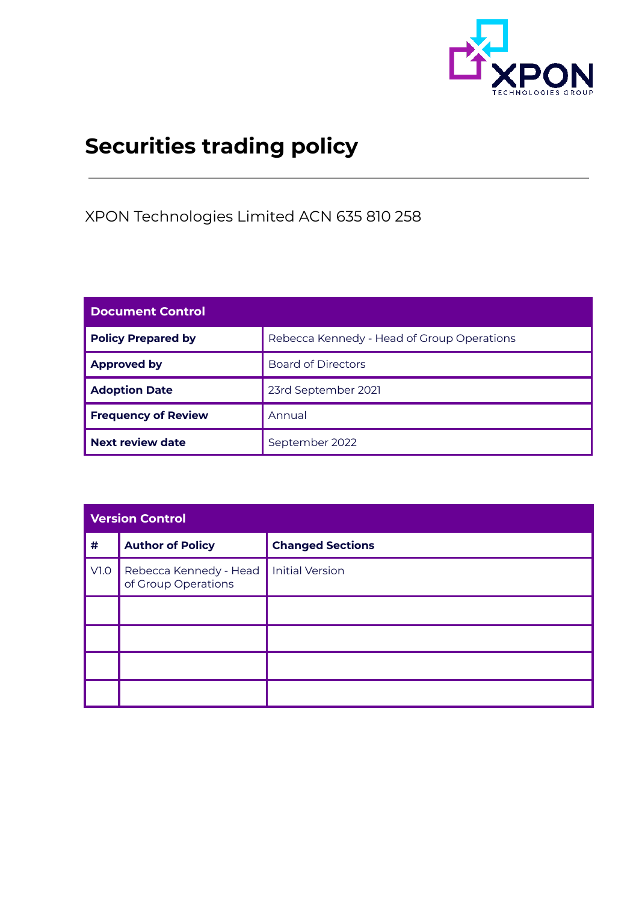

# **Securities trading policy**

XPON Technologies Limited ACN 635 810 258

| <b>Document Control</b>    |                                            |  |
|----------------------------|--------------------------------------------|--|
| <b>Policy Prepared by</b>  | Rebecca Kennedy - Head of Group Operations |  |
| <b>Approved by</b>         | <b>Board of Directors</b>                  |  |
| <b>Adoption Date</b>       | 23rd September 2021                        |  |
| <b>Frequency of Review</b> | Annual                                     |  |
| <b>Next review date</b>    | September 2022                             |  |

| <b>Version Control</b> |                                               |                         |  |
|------------------------|-----------------------------------------------|-------------------------|--|
| $\pmb{\#}$             | <b>Author of Policy</b>                       | <b>Changed Sections</b> |  |
| V1.0                   | Rebecca Kennedy - Head<br>of Group Operations | <b>Initial Version</b>  |  |
|                        |                                               |                         |  |
|                        |                                               |                         |  |
|                        |                                               |                         |  |
|                        |                                               |                         |  |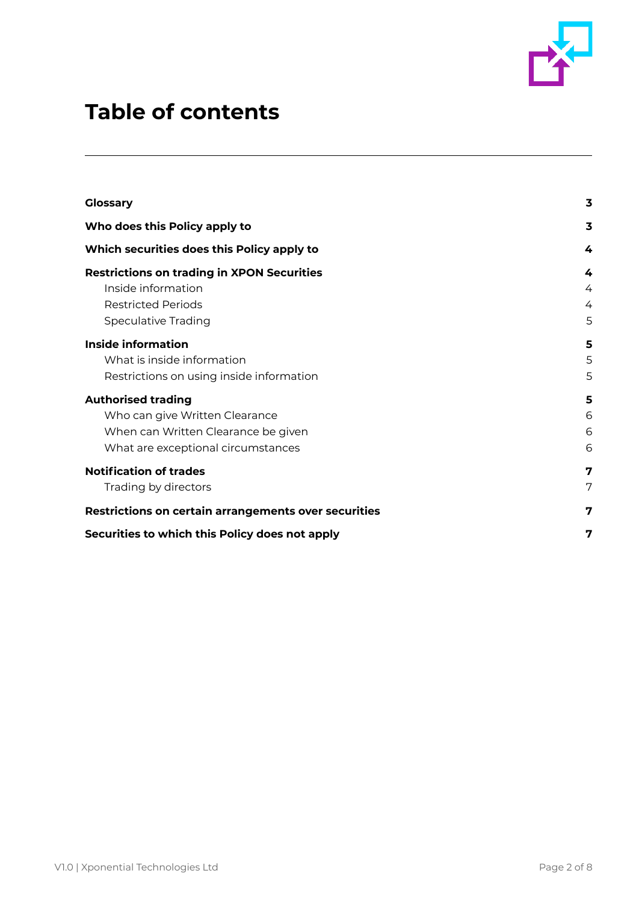

## **Table of contents**

| <b>Glossary</b>                                      | 3                       |
|------------------------------------------------------|-------------------------|
| Who does this Policy apply to                        | $\overline{\mathbf{3}}$ |
| Which securities does this Policy apply to           | 4                       |
| <b>Restrictions on trading in XPON Securities</b>    | 4                       |
| Inside information                                   | 4                       |
| <b>Restricted Periods</b>                            | 4                       |
| <b>Speculative Trading</b>                           | 5                       |
| Inside information                                   | 5                       |
| What is inside information                           | 5                       |
| Restrictions on using inside information             | 5                       |
| <b>Authorised trading</b>                            | 5                       |
| Who can give Written Clearance                       | 6                       |
| When can Written Clearance be given                  | 6                       |
| What are exceptional circumstances                   | 6                       |
| <b>Notification of trades</b>                        | 7                       |
| Trading by directors                                 | 7                       |
| Restrictions on certain arrangements over securities | 7                       |
| Securities to which this Policy does not apply       | 7                       |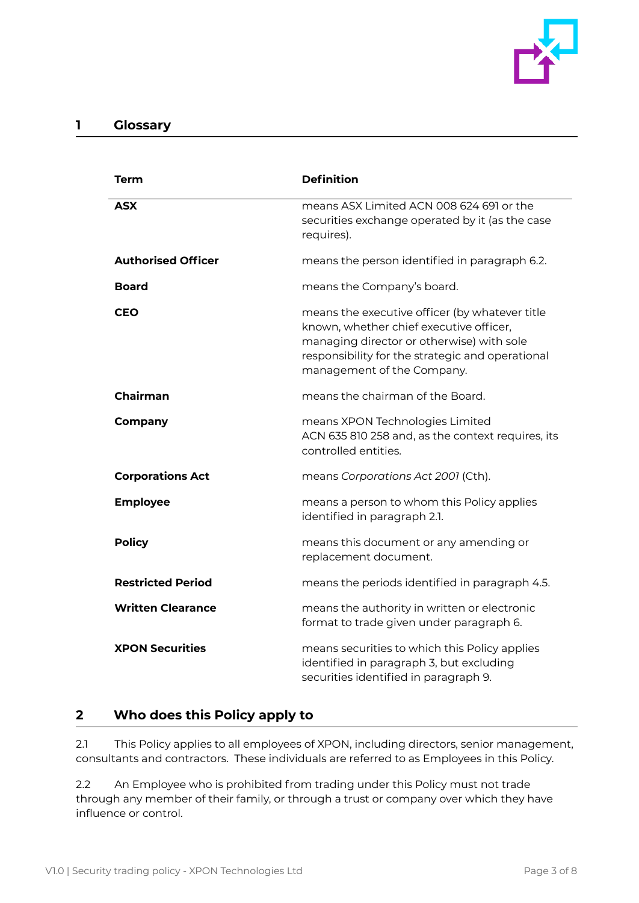

## <span id="page-2-0"></span>**1 Glossary**

| Term                      | <b>Definition</b>                                                                                                                                                                                                        |
|---------------------------|--------------------------------------------------------------------------------------------------------------------------------------------------------------------------------------------------------------------------|
| <b>ASX</b>                | means ASX Limited ACN 008 624 691 or the<br>securities exchange operated by it (as the case<br>requires).                                                                                                                |
| <b>Authorised Officer</b> | means the person identified in paragraph 6.2.                                                                                                                                                                            |
| <b>Board</b>              | means the Company's board.                                                                                                                                                                                               |
| <b>CEO</b>                | means the executive officer (by whatever title<br>known, whether chief executive officer,<br>managing director or otherwise) with sole<br>responsibility for the strategic and operational<br>management of the Company. |
| <b>Chairman</b>           | means the chairman of the Board.                                                                                                                                                                                         |
| <b>Company</b>            | means XPON Technologies Limited<br>ACN 635 810 258 and, as the context requires, its<br>controlled entities.                                                                                                             |
| <b>Corporations Act</b>   | means Corporations Act 2001 (Cth).                                                                                                                                                                                       |
| <b>Employee</b>           | means a person to whom this Policy applies<br>identified in paragraph 2.1.                                                                                                                                               |
| <b>Policy</b>             | means this document or any amending or<br>replacement document.                                                                                                                                                          |
| <b>Restricted Period</b>  | means the periods identified in paragraph 4.5.                                                                                                                                                                           |
| <b>Written Clearance</b>  | means the authority in written or electronic<br>format to trade given under paragraph 6.                                                                                                                                 |
| <b>XPON Securities</b>    | means securities to which this Policy applies<br>identified in paragraph 3, but excluding<br>securities identified in paragraph 9.                                                                                       |

## <span id="page-2-1"></span>**2 Who does this Policy apply to**

2.1 This Policy applies to all employees of XPON, including directors, senior management, consultants and contractors. These individuals are referred to as Employees in this Policy.

2.2 An Employee who is prohibited from trading under this Policy must not trade through any member of their family, or through a trust or company over which they have influence or control.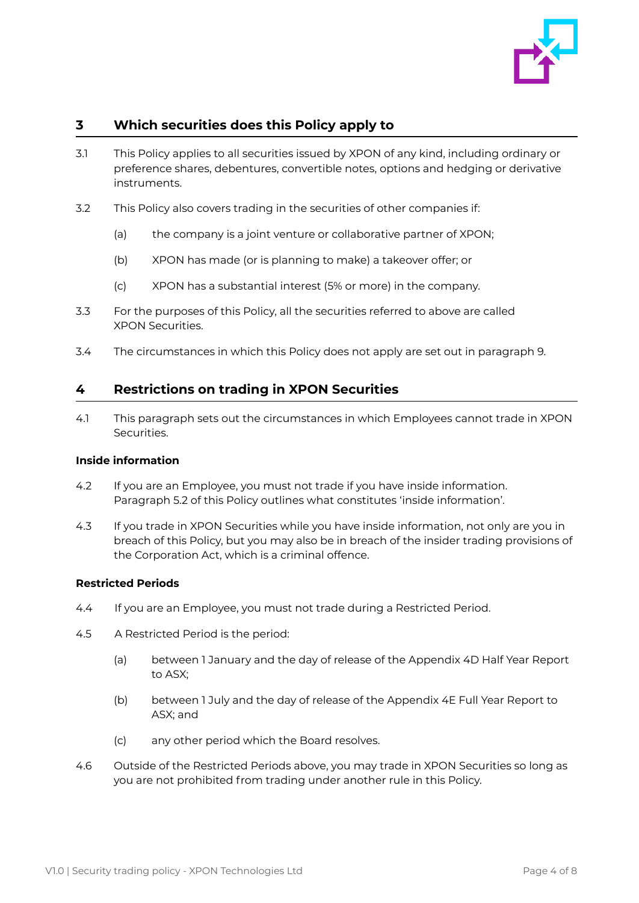

## <span id="page-3-0"></span>**3 Which securities does this Policy apply to**

- 3.1 This Policy applies to all securities issued by XPON of any kind, including ordinary or preference shares, debentures, convertible notes, options and hedging or derivative instruments.
- 3.2 This Policy also covers trading in the securities of other companies if:
	- (a) the company is a joint venture or collaborative partner of XPON;
	- (b) XPON has made (or is planning to make) a takeover offer; or
	- (c) XPON has a substantial interest (5% or more) in the company.
- 3.3 For the purposes of this Policy, all the securities referred to above are called XPON Securities.
- 3.4 The circumstances in which this Policy does not apply are set out in paragraph 9.

## <span id="page-3-1"></span>**4 Restrictions on trading in XPON Securities**

4.1 This paragraph sets out the circumstances in which Employees cannot trade in XPON Securities.

#### <span id="page-3-2"></span>**Inside information**

- 4.2 If you are an Employee, you must not trade if you have inside information. Paragraph 5.2 of this Policy outlines what constitutes 'inside information'.
- 4.3 If you trade in XPON Securities while you have inside information, not only are you in breach of this Policy, but you may also be in breach of the insider trading provisions of the Corporation Act, which is a criminal offence.

#### <span id="page-3-3"></span>**Restricted Periods**

- 4.4 If you are an Employee, you must not trade during a Restricted Period.
- 4.5 A Restricted Period is the period:
	- (a) between 1 January and the day of release of the Appendix 4D Half Year Report to ASX;
	- (b) between 1 July and the day of release of the Appendix 4E Full Year Report to ASX; and
	- (c) any other period which the Board resolves.
- 4.6 Outside of the Restricted Periods above, you may trade in XPON Securities so long as you are not prohibited from trading under another rule in this Policy.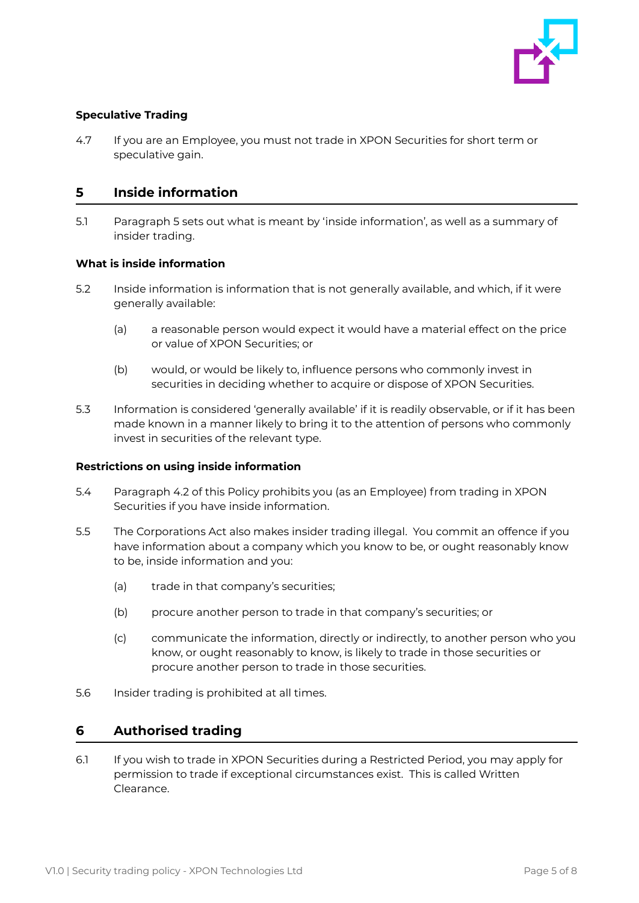

#### <span id="page-4-0"></span>**Speculative Trading**

4.7 If you are an Employee, you must not trade in XPON Securities for short term or speculative gain.

## <span id="page-4-1"></span>**5 Inside information**

5.1 Paragraph 5 sets out what is meant by 'inside information', as well as a summary of insider trading.

#### <span id="page-4-2"></span>**What is inside information**

- 5.2 Inside information is information that is not generally available, and which, if it were generally available:
	- (a) a reasonable person would expect it would have a material effect on the price or value of XPON Securities; or
	- (b) would, or would be likely to, influence persons who commonly invest in securities in deciding whether to acquire or dispose of XPON Securities.
- 5.3 Information is considered 'generally available' if it is readily observable, or if it has been made known in a manner likely to bring it to the attention of persons who commonly invest in securities of the relevant type.

#### <span id="page-4-3"></span>**Restrictions on using inside information**

- 5.4 Paragraph 4.2 of this Policy prohibits you (as an Employee) from trading in XPON Securities if you have inside information.
- 5.5 The Corporations Act also makes insider trading illegal. You commit an offence if you have information about a company which you know to be, or ought reasonably know to be, inside information and you:
	- (a) trade in that company's securities;
	- (b) procure another person to trade in that company's securities; or
	- (c) communicate the information, directly or indirectly, to another person who you know, or ought reasonably to know, is likely to trade in those securities or procure another person to trade in those securities.
- 5.6 Insider trading is prohibited at all times.

#### <span id="page-4-4"></span>**6 Authorised trading**

6.1 If you wish to trade in XPON Securities during a Restricted Period, you may apply for permission to trade if exceptional circumstances exist. This is called Written Clearance.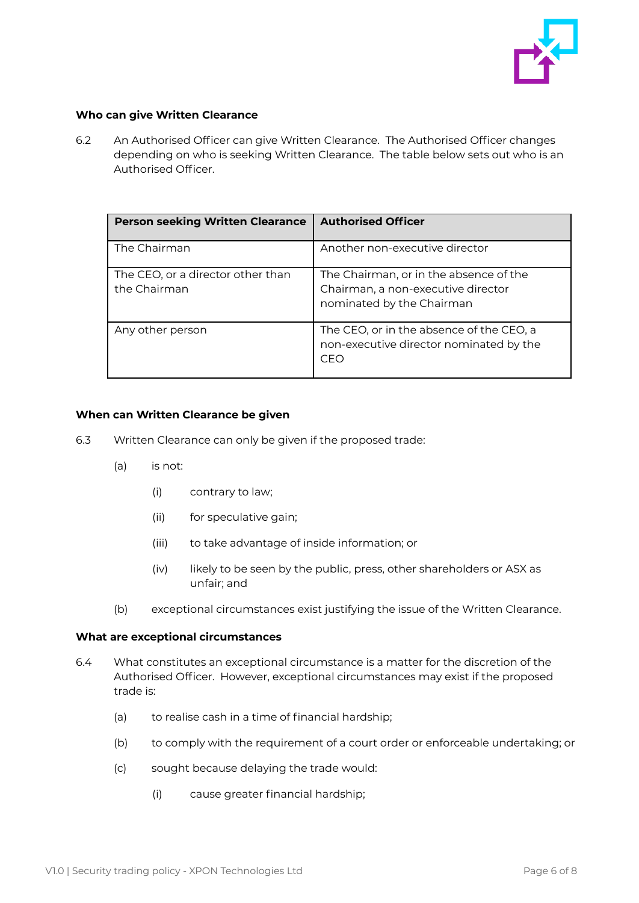

#### <span id="page-5-0"></span>**Who can give Written Clearance**

6.2 An Authorised Officer can give Written Clearance. The Authorised Officer changes depending on who is seeking Written Clearance. The table below sets out who is an Authorised Officer.

| <b>Person seeking Written Clearance</b>           | <b>Authorised Officer</b>                                                                                 |
|---------------------------------------------------|-----------------------------------------------------------------------------------------------------------|
| The Chairman                                      | Another non-executive director                                                                            |
| The CEO, or a director other than<br>the Chairman | The Chairman, or in the absence of the<br>Chairman, a non-executive director<br>nominated by the Chairman |
| Any other person                                  | The CEO, or in the absence of the CEO, a<br>non-executive director nominated by the<br>CEO                |

#### <span id="page-5-1"></span>**When can Written Clearance be given**

- 6.3 Written Clearance can only be given if the proposed trade:
	- (a) is not:
		- (i) contrary to law;
		- (ii) for speculative gain;
		- (iii) to take advantage of inside information; or
		- (iv) likely to be seen by the public, press, other shareholders or ASX as unfair; and
	- (b) exceptional circumstances exist justifying the issue of the Written Clearance.

#### <span id="page-5-2"></span>**What are exceptional circumstances**

- 6.4 What constitutes an exceptional circumstance is a matter for the discretion of the Authorised Officer. However, exceptional circumstances may exist if the proposed trade is:
	- (a) to realise cash in a time of financial hardship;
	- (b) to comply with the requirement of a court order or enforceable undertaking; or
	- (c) sought because delaying the trade would:
		- (i) cause greater financial hardship;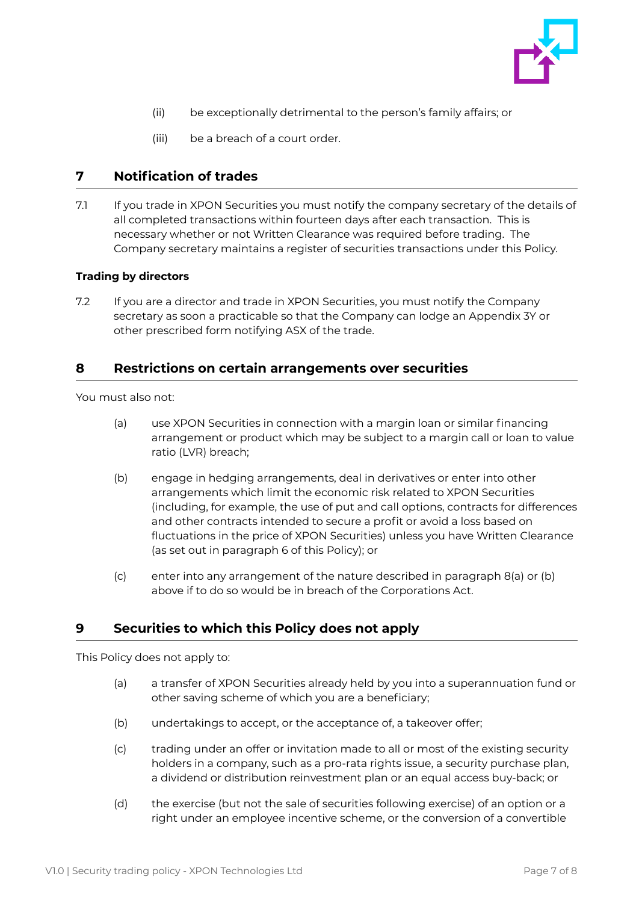

- (ii) be exceptionally detrimental to the person's family affairs; or
- (iii) be a breach of a court order.

## <span id="page-6-0"></span>**7 Notification of trades**

7.1 If you trade in XPON Securities you must notify the company secretary of the details of all completed transactions within fourteen days after each transaction. This is necessary whether or not Written Clearance was required before trading. The Company secretary maintains a register of securities transactions under this Policy.

#### <span id="page-6-1"></span>**Trading by directors**

7.2 If you are a director and trade in XPON Securities, you must notify the Company secretary as soon a practicable so that the Company can lodge an Appendix 3Y or other prescribed form notifying ASX of the trade.

## <span id="page-6-2"></span>**8 Restrictions on certain arrangements over securities**

You must also not:

- (a) use XPON Securities in connection with a margin loan or similar financing arrangement or product which may be subject to a margin call or loan to value ratio (LVR) breach;
- (b) engage in hedging arrangements, deal in derivatives or enter into other arrangements which limit the economic risk related to XPON Securities (including, for example, the use of put and call options, contracts for differences and other contracts intended to secure a profit or avoid a loss based on fluctuations in the price of XPON Securities) unless you have Written Clearance (as set out in paragraph 6 of this Policy); or
- (c) enter into any arrangement of the nature described in paragraph 8(a) or (b) above if to do so would be in breach of the Corporations Act.

## <span id="page-6-3"></span>**9 Securities to which this Policy does not apply**

This Policy does not apply to:

- (a) a transfer of XPON Securities already held by you into a superannuation fund or other saving scheme of which you are a beneficiary;
- (b) undertakings to accept, or the acceptance of, a takeover offer;
- (c) trading under an offer or invitation made to all or most of the existing security holders in a company, such as a pro-rata rights issue, a security purchase plan, a dividend or distribution reinvestment plan or an equal access buy-back; or
- (d) the exercise (but not the sale of securities following exercise) of an option or a right under an employee incentive scheme, or the conversion of a convertible